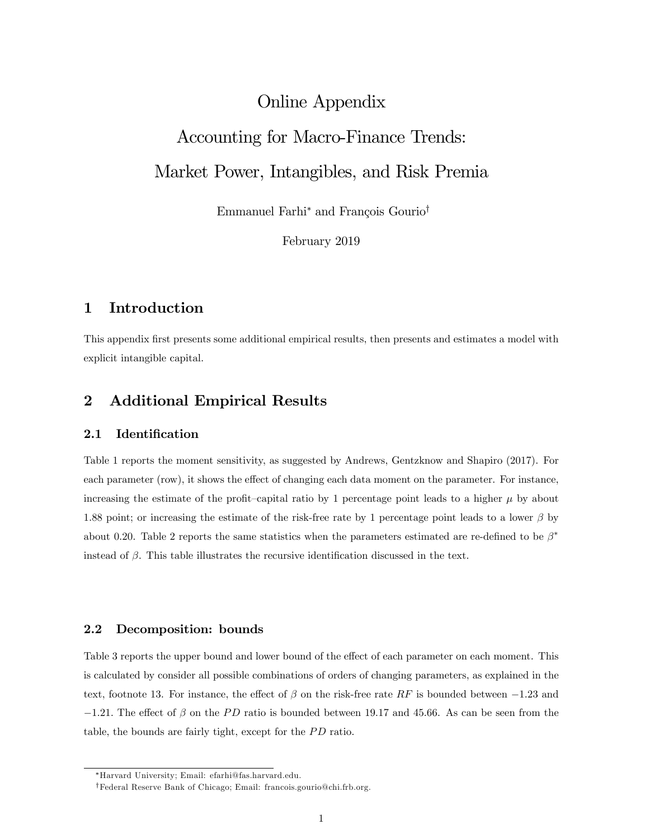# Online Appendix

# Accounting for Macro-Finance Trends: Market Power, Intangibles, and Risk Premia

Emmanuel Farhi<sup>\*</sup> and François Gourio<sup>†</sup>

February 2019

# 1 Introduction

This appendix first presents some additional empirical results, then presents and estimates a model with explicit intangible capital.

# 2 Additional Empirical Results

#### 2.1 Identification

Table 1 reports the moment sensitivity, as suggested by Andrews, Gentzknow and Shapiro (2017). For each parameter (row), it shows the effect of changing each data moment on the parameter. For instance, increasing the estimate of the profit-capital ratio by 1 percentage point leads to a higher  $\mu$  by about 1.88 point; or increasing the estimate of the risk-free rate by 1 percentage point leads to a lower  $\beta$  by about 0.20. Table 2 reports the same statistics when the parameters estimated are re-defined to be  $\beta^*$ instead of  $\beta$ . This table illustrates the recursive identification discussed in the text.

#### 2.2 Decomposition: bounds

Table 3 reports the upper bound and lower bound of the effect of each parameter on each moment. This is calculated by consider all possible combinations of orders of changing parameters, as explained in the text, footnote 13. For instance, the effect of  $\beta$  on the risk-free rate RF is bounded between  $-1.23$  and  $-1.21$ . The effect of  $\beta$  on the PD ratio is bounded between 19.17 and 45.66. As can be seen from the table, the bounds are fairly tight, except for the PD ratio.

Harvard University; Email: efarhi@fas.harvard.edu.

yFederal Reserve Bank of Chicago; Email: francois.gourio@chi.frb.org.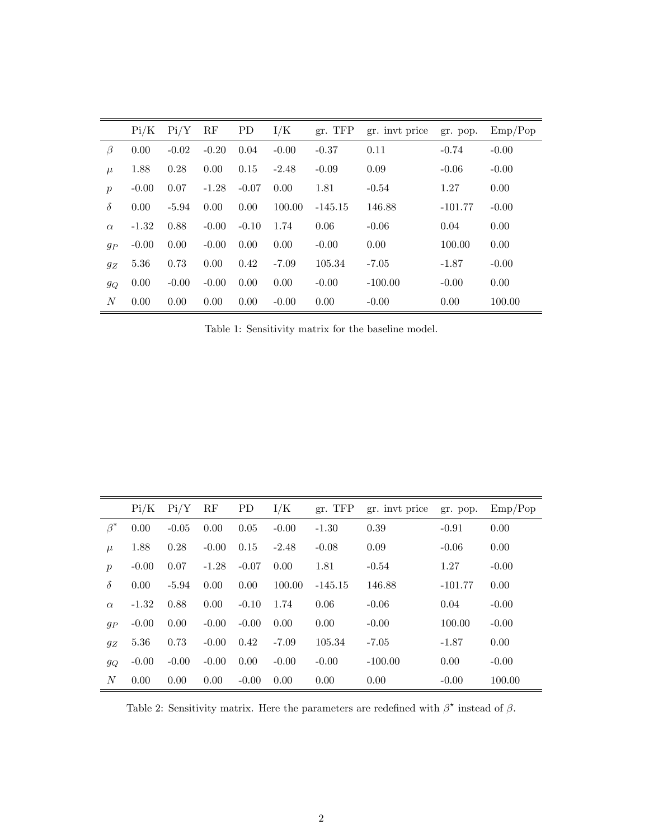|                  | Pi/K    | Pi/Y    | RF      | <b>PD</b> | I/K     | gr. TFP   | gr. invt price | gr. pop.  | Emp/Pop |
|------------------|---------|---------|---------|-----------|---------|-----------|----------------|-----------|---------|
| $\beta$          | 0.00    | $-0.02$ | $-0.20$ | 0.04      | $-0.00$ | $-0.37$   | 0.11           | $-0.74$   | $-0.00$ |
| $\mu$            | 1.88    | 0.28    | 0.00    | 0.15      | $-2.48$ | $-0.09$   | 0.09           | $-0.06$   | $-0.00$ |
| $\boldsymbol{p}$ | $-0.00$ | 0.07    | $-1.28$ | $-0.07$   | 0.00    | 1.81      | $-0.54$        | 1.27      | 0.00    |
| $\delta$         | 0.00    | $-5.94$ | 0.00    | 0.00      | 100.00  | $-145.15$ | 146.88         | $-101.77$ | $-0.00$ |
| $\alpha$         | $-1.32$ | 0.88    | $-0.00$ | $-0.10$   | 1.74    | 0.06      | $-0.06$        | 0.04      | 0.00    |
| $g_P$            | $-0.00$ | 0.00    | $-0.00$ | 0.00      | 0.00    | $-0.00$   | 0.00           | 100.00    | 0.00    |
| $g_Z$            | 5.36    | 0.73    | 0.00    | 0.42      | $-7.09$ | 105.34    | $-7.05$        | $-1.87$   | $-0.00$ |
| $g_Q$            | 0.00    | $-0.00$ | $-0.00$ | 0.00      | 0.00    | $-0.00$   | $-100.00$      | $-0.00$   | 0.00    |
| N                | 0.00    | 0.00    | 0.00    | 0.00      | $-0.00$ | 0.00      | $-0.00$        | 0.00      | 100.00  |

Table 1: Sensitivity matrix for the baseline model.

|                  | Pi/K    | Pi/Y    | RF      | PD      | I/K     | gr. TFP   | gr. invt price | gr. pop.  | Emp/Pop |
|------------------|---------|---------|---------|---------|---------|-----------|----------------|-----------|---------|
| $\beta^*$        | 0.00    | $-0.05$ | 0.00    | 0.05    | $-0.00$ | $-1.30$   | 0.39           | $-0.91$   | 0.00    |
| $\mu$            | 1.88    | 0.28    | $-0.00$ | 0.15    | $-2.48$ | $-0.08$   | 0.09           | $-0.06$   | 0.00    |
| $\boldsymbol{p}$ | $-0.00$ | 0.07    | $-1.28$ | $-0.07$ | 0.00    | 1.81      | $-0.54$        | 1.27      | $-0.00$ |
| $\delta$         | 0.00    | $-5.94$ | 0.00    | 0.00    | 100.00  | $-145.15$ | 146.88         | $-101.77$ | 0.00    |
| $\alpha$         | $-1.32$ | 0.88    | 0.00    | $-0.10$ | 1.74    | 0.06      | $-0.06$        | 0.04      | $-0.00$ |
| $g_P$            | $-0.00$ | 0.00    | $-0.00$ | $-0.00$ | 0.00    | 0.00      | $-0.00$        | 100.00    | $-0.00$ |
| $g_Z$            | 5.36    | 0.73    | $-0.00$ | 0.42    | $-7.09$ | 105.34    | $-7.05$        | $-1.87$   | 0.00    |
| $g_{Q}$          | $-0.00$ | $-0.00$ | $-0.00$ | 0.00    | $-0.00$ | $-0.00$   | $-100.00$      | 0.00      | $-0.00$ |
| $\overline{N}$   | 0.00    | 0.00    | 0.00    | $-0.00$ | 0.00    | 0.00      | 0.00           | $-0.00$   | 100.00  |

Table 2: Sensitivity matrix. Here the parameters are redefined with  $\beta^*$  instead of  $\beta$ .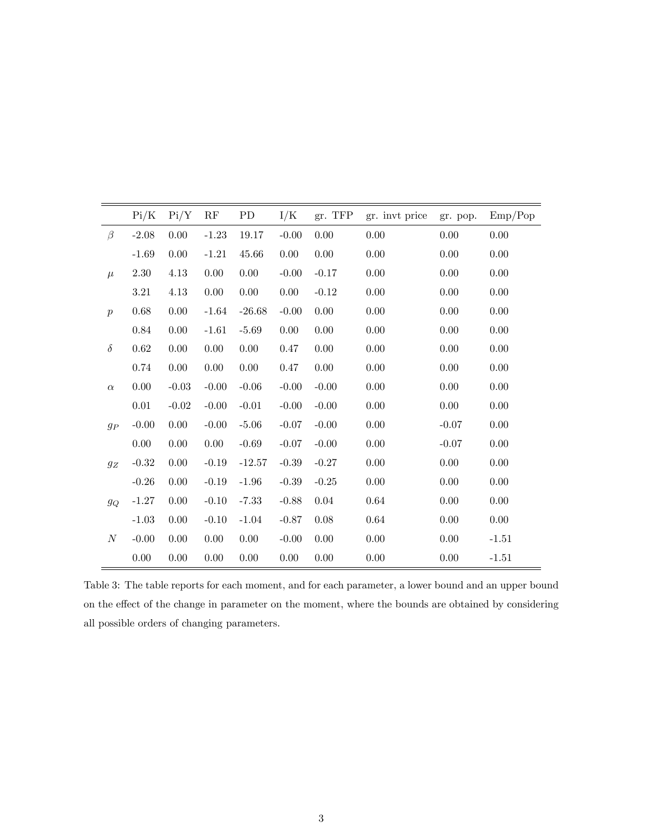|                  | Pi/K     | Pi/Y     | RF       | PD       | I/K      | gr. TFP  | gr. invt price | gr. pop. | Emp/Pop  |
|------------------|----------|----------|----------|----------|----------|----------|----------------|----------|----------|
| $\beta$          | $-2.08$  | 0.00     | $-1.23$  | 19.17    | $-0.00$  | 0.00     | 0.00           | 0.00     | 0.00     |
|                  | $-1.69$  | 0.00     | $-1.21$  | 45.66    | $0.00\,$ | $0.00\,$ | 0.00           | 0.00     | 0.00     |
| $\mu$            | $2.30\,$ | $4.13\,$ | $0.00\,$ | $0.00\,$ | $-0.00$  | $-0.17$  | 0.00           | 0.00     | 0.00     |
|                  | $3.21\,$ | 4.13     | 0.00     | $0.00\,$ | 0.00     | $-0.12$  | 0.00           | $0.00\,$ | 0.00     |
| $\boldsymbol{p}$ | 0.68     | 0.00     | $-1.64$  | $-26.68$ | $-0.00$  | $0.00\,$ | 0.00           | $0.00\,$ | 0.00     |
|                  | 0.84     | 0.00     | $-1.61$  | $-5.69$  | $0.00\,$ | $0.00\,$ | 0.00           | $0.00\,$ | $0.00\,$ |
| $\delta$         | 0.62     | 0.00     | 0.00     | $0.00\,$ | 0.47     | $0.00\,$ | 0.00           | $0.00\,$ | $0.00\,$ |
|                  | 0.74     | 0.00     | 0.00     | $0.00\,$ | 0.47     | $0.00\,$ | 0.00           | $0.00\,$ | $0.00\,$ |
| $\alpha$         | 0.00     | $-0.03$  | $-0.00$  | $-0.06$  | $-0.00$  | $-0.00$  | 0.00           | 0.00     | $0.00\,$ |
|                  | $0.01\,$ | $-0.02$  | $-0.00$  | $-0.01$  | $-0.00$  | $-0.00$  | $0.00\,$       | $0.00\,$ | 0.00     |
| $g_P$            | $-0.00$  | 0.00     | $-0.00$  | $-5.06$  | $-0.07$  | $-0.00$  | $0.00\,$       | $-0.07$  | 0.00     |
|                  | 0.00     | 0.00     | 0.00     | $-0.69$  | $-0.07$  | $-0.00$  | 0.00           | $-0.07$  | 0.00     |
| $g_{\mathbb{Z}}$ | $-0.32$  | 0.00     | $-0.19$  | $-12.57$ | $-0.39$  | $-0.27$  | 0.00           | 0.00     | 0.00     |
|                  | $-0.26$  | 0.00     | $-0.19$  | $-1.96$  | $-0.39$  | $-0.25$  | 0.00           | 0.00     | 0.00     |
| $g_Q$            | $-1.27$  | 0.00     | $-0.10$  | $-7.33$  | $-0.88$  | $0.04\,$ | 0.64           | 0.00     | 0.00     |
|                  | $-1.03$  | 0.00     | $-0.10$  | $-1.04$  | $-0.87$  | 0.08     | 0.64           | 0.00     | 0.00     |
| $\boldsymbol{N}$ | $-0.00$  | 0.00     | 0.00     | 0.00     | $-0.00$  | 0.00     | 0.00           | 0.00     | $-1.51$  |
|                  | 0.00     | 0.00     | 0.00     | $0.00\,$ | 0.00     | $0.00\,$ | 0.00           | 0.00     | $-1.51$  |

Table 3: The table reports for each moment, and for each parameter, a lower bound and an upper bound on the effect of the change in parameter on the moment, where the bounds are obtained by considering all possible orders of changing parameters.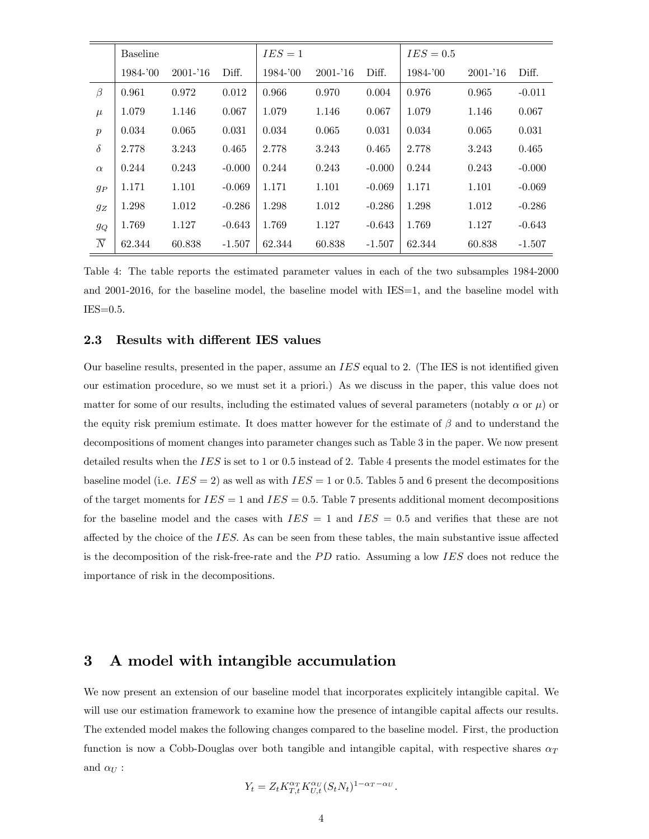|                  | <b>Baseline</b> |             |          | $IES = 1$ |             |          | $IES = 0.5$ |             |          |
|------------------|-----------------|-------------|----------|-----------|-------------|----------|-------------|-------------|----------|
|                  | 1984-'00        | $2001 - 16$ | Diff.    | 1984-'00  | $2001 - 16$ | Diff.    | $1984 - 00$ | $2001 - 16$ | Diff.    |
| $\beta$          | 0.961           | 0.972       | 0.012    | 0.966     | 0.970       | 0.004    | 0.976       | 0.965       | $-0.011$ |
| $\mu$            | 1.079           | 1.146       | 0.067    | 1.079     | 1.146       | 0.067    | 1.079       | 1.146       | 0.067    |
| $\boldsymbol{p}$ | 0.034           | 0.065       | 0.031    | 0.034     | 0.065       | 0.031    | 0.034       | 0.065       | 0.031    |
| $\delta$         | 2.778           | 3.243       | 0.465    | 2.778     | 3.243       | 0.465    | 2.778       | 3.243       | 0.465    |
| $\alpha$         | 0.244           | 0.243       | $-0.000$ | 0.244     | 0.243       | $-0.000$ | 0.244       | 0.243       | $-0.000$ |
| $g_P$            | 1.171           | 1.101       | $-0.069$ | 1.171     | 1.101       | $-0.069$ | 1.171       | 1.101       | $-0.069$ |
| $g_Z$            | 1.298           | 1.012       | $-0.286$ | 1.298     | 1.012       | $-0.286$ | 1.298       | 1.012       | $-0.286$ |
| $g_Q$            | 1.769           | 1.127       | $-0.643$ | 1.769     | 1.127       | $-0.643$ | 1.769       | 1.127       | $-0.643$ |
| $\overline{N}$   | 62.344          | 60.838      | $-1.507$ | 62.344    | 60.838      | $-1.507$ | 62.344      | 60.838      | $-1.507$ |

Table 4: The table reports the estimated parameter values in each of the two subsamples 1984-2000 and 2001-2016, for the baseline model, the baseline model with IES=1, and the baseline model with  $IES=0.5$ .

#### 2.3 Results with different IES values

Our baseline results, presented in the paper, assume an  $IES$  equal to 2. (The IES is not identified given our estimation procedure, so we must set it a priori.) As we discuss in the paper, this value does not matter for some of our results, including the estimated values of several parameters (notably  $\alpha$  or  $\mu$ ) or the equity risk premium estimate. It does matter however for the estimate of  $\beta$  and to understand the decompositions of moment changes into parameter changes such as Table 3 in the paper. We now present detailed results when the  $IES$  is set to 1 or 0.5 instead of 2. Table 4 presents the model estimates for the baseline model (i.e.  $IES = 2$ ) as well as with  $IES = 1$  or 0.5. Tables 5 and 6 present the decompositions of the target moments for  $IES = 1$  and  $IES = 0.5$ . Table 7 presents additional moment decompositions for the baseline model and the cases with  $IES = 1$  and  $IES = 0.5$  and verifies that these are not affected by the choice of the  $IES$ . As can be seen from these tables, the main substantive issue affected is the decomposition of the risk-free-rate and the  $PD$  ratio. Assuming a low IES does not reduce the importance of risk in the decompositions.

### 3 A model with intangible accumulation

We now present an extension of our baseline model that incorporates explicitely intangible capital. We will use our estimation framework to examine how the presence of intangible capital affects our results. The extended model makes the following changes compared to the baseline model. First, the production function is now a Cobb-Douglas over both tangible and intangible capital, with respective shares  $\alpha_T$ and  $\alpha_U$  :

$$
Y_t = Z_t K_{T,t}^{\alpha_T} K_{U,t}^{\alpha_U} (S_t N_t)^{1-\alpha_T-\alpha_U}.
$$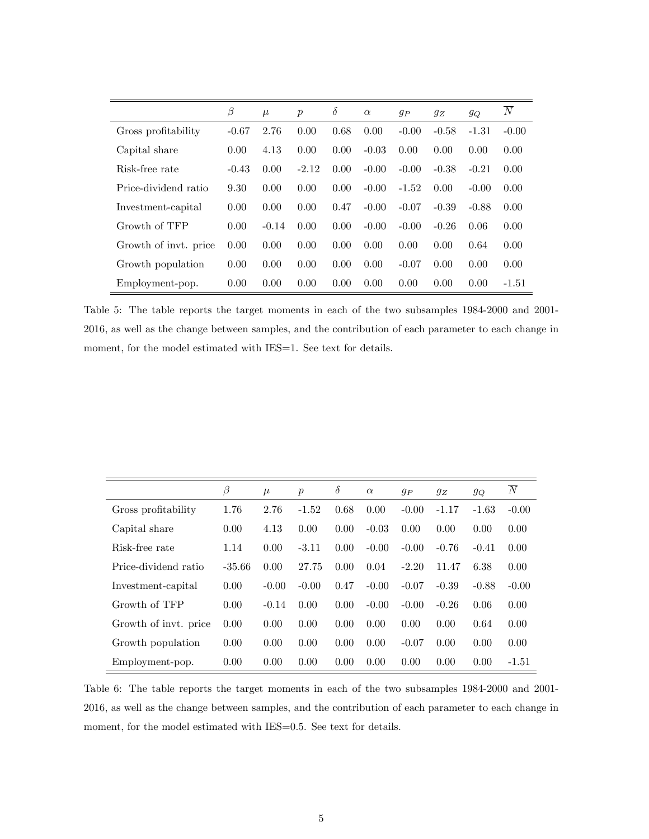|                       | β       | $\mu$   | $\boldsymbol{p}$ | $\delta$ | $\alpha$ | $g_P$   | $g_Z$   | $g_Q$   | $\overline{N}$ |
|-----------------------|---------|---------|------------------|----------|----------|---------|---------|---------|----------------|
| Gross profitability   | $-0.67$ | 2.76    | 0.00             | 0.68     | 0.00     | $-0.00$ | $-0.58$ | $-1.31$ | $-0.00$        |
| Capital share         | 0.00    | 4.13    | 0.00             | 0.00     | $-0.03$  | 0.00    | 0.00    | 0.00    | 0.00           |
| Risk-free rate        | $-0.43$ | 0.00    | $-2.12$          | 0.00     | $-0.00$  | $-0.00$ | $-0.38$ | $-0.21$ | 0.00           |
| Price-dividend ratio  | 9.30    | 0.00    | 0.00             | 0.00     | $-0.00$  | $-1.52$ | 0.00    | $-0.00$ | 0.00           |
| Investment-capital    | 0.00    | 0.00    | 0.00             | 0.47     | $-0.00$  | $-0.07$ | $-0.39$ | $-0.88$ | 0.00           |
| Growth of TFP         | 0.00    | $-0.14$ | 0.00             | 0.00     | $-0.00$  | $-0.00$ | $-0.26$ | 0.06    | 0.00           |
| Growth of invt. price | 0.00    | 0.00    | 0.00             | 0.00     | 0.00     | 0.00    | 0.00    | 0.64    | 0.00           |
| Growth population     | 0.00    | 0.00    | 0.00             | 0.00     | 0.00     | $-0.07$ | 0.00    | 0.00    | 0.00           |
| Employment-pop.       | 0.00    | 0.00    | 0.00             | 0.00     | 0.00     | 0.00    | 0.00    | 0.00    | $-1.51$        |

Table 5: The table reports the target moments in each of the two subsamples 1984-2000 and 2001- 2016, as well as the change between samples, and the contribution of each parameter to each change in moment, for the model estimated with IES=1. See text for details.

|                       | $\beta$  | $\mu$   | $\boldsymbol{p}$ | $\delta$ | $\alpha$ | $g_P$   | $g_Z$   | $g_Q$   | $\boldsymbol{N}$ |
|-----------------------|----------|---------|------------------|----------|----------|---------|---------|---------|------------------|
| Gross profitability   | 1.76     | 2.76    | $-1.52$          | 0.68     | 0.00     | $-0.00$ | $-1.17$ | $-1.63$ | $-0.00$          |
| Capital share         | 0.00     | 4.13    | 0.00             | 0.00     | $-0.03$  | 0.00    | 0.00    | 0.00    | 0.00             |
| Risk-free rate        | 1.14     | 0.00    | $-3.11$          | 0.00     | $-0.00$  | $-0.00$ | $-0.76$ | $-0.41$ | 0.00             |
| Price-dividend ratio  | $-35.66$ | 0.00    | 27.75            | 0.00     | 0.04     | $-2.20$ | 11.47   | 6.38    | 0.00             |
| Investment-capital    | 0.00     | $-0.00$ | $-0.00$          | 0.47     | $-0.00$  | $-0.07$ | $-0.39$ | $-0.88$ | $-0.00$          |
| Growth of TFP         | 0.00     | $-0.14$ | 0.00             | 0.00     | $-0.00$  | $-0.00$ | $-0.26$ | 0.06    | 0.00             |
| Growth of invt. price | 0.00     | 0.00    | 0.00             | 0.00     | 0.00     | 0.00    | 0.00    | 0.64    | 0.00             |
| Growth population     | 0.00     | 0.00    | 0.00             | 0.00     | 0.00     | $-0.07$ | 0.00    | 0.00    | 0.00             |
| Employment-pop.       | 0.00     | 0.00    | 0.00             | 0.00     | 0.00     | 0.00    | 0.00    | 0.00    | $-1.51$          |

Table 6: The table reports the target moments in each of the two subsamples 1984-2000 and 2001- 2016, as well as the change between samples, and the contribution of each parameter to each change in moment, for the model estimated with IES=0.5. See text for details.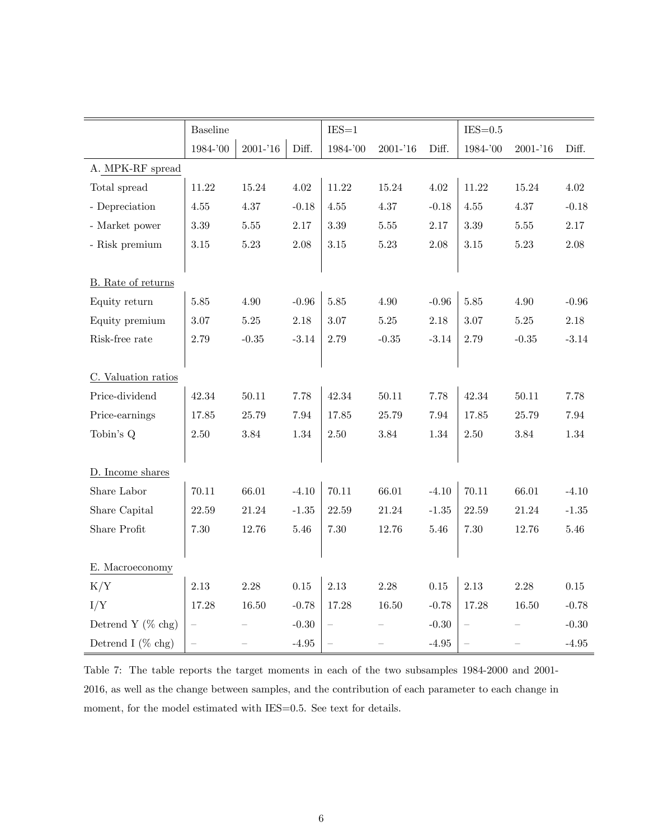|                       | <b>Baseline</b>          |             |          | $IES = 1$                |             |          | $IES=0.5$         |             |          |
|-----------------------|--------------------------|-------------|----------|--------------------------|-------------|----------|-------------------|-------------|----------|
|                       | 1984-'00                 | $2001 - 16$ | Diff.    | 1984-'00                 | $2001 - 16$ | Diff.    | 1984-'00          | $2001 - 16$ | Diff.    |
| A. MPK-RF spread      |                          |             |          |                          |             |          |                   |             |          |
| Total spread          | 11.22                    | $15.24\,$   | 4.02     | 11.22                    | 15.24       | $4.02\,$ | $11.22\,$         | 15.24       | $4.02\,$ |
| - Depreciation        | $4.55\,$                 | 4.37        | $-0.18$  | $4.55\,$                 | 4.37        | $-0.18$  | 4.55              | 4.37        | $-0.18$  |
| - Market power        | $3.39\,$                 | $5.55\,$    | 2.17     | $3.39\,$                 | $5.55\,$    | $2.17\,$ | $3.39\,$          | $5.55\,$    | $2.17\,$ |
| - Risk premium        | $3.15\,$                 | $5.23\,$    | $2.08\,$ | $3.15\,$                 | $5.23\,$    | $2.08\,$ | $3.15\,$          | $5.23\,$    | $2.08\,$ |
|                       |                          |             |          |                          |             |          |                   |             |          |
| B. Rate of returns    |                          |             |          |                          |             |          |                   |             |          |
| Equity return         | $5.85\,$                 | $4.90\,$    | $-0.96$  | $5.85\,$                 | $4.90\,$    | $-0.96$  | 5.85              | 4.90        | $-0.96$  |
| Equity premium        | 3.07                     | $5.25\,$    | 2.18     | 3.07                     | $5.25\,$    | $2.18\,$ | 3.07              | $5.25\,$    | $2.18\,$ |
| Risk-free rate        | 2.79                     | $-0.35$     | $-3.14$  | 2.79                     | $-0.35$     | $-3.14$  | 2.79              | $-0.35$     | $-3.14$  |
|                       |                          |             |          |                          |             |          |                   |             |          |
| C. Valuation ratios   |                          |             |          |                          |             |          |                   |             |          |
| Price-dividend        | 42.34                    | $50.11\,$   | 7.78     | 42.34                    | $50.11\,$   | 7.78     | 42.34             | 50.11       | 7.78     |
| Price-earnings        | 17.85                    | 25.79       | 7.94     | 17.85                    | 25.79       | $7.94\,$ | 17.85             | 25.79       | $7.94\,$ |
| Tobin's Q             | 2.50                     | $3.84\,$    | $1.34\,$ | 2.50                     | $\!.84$     | 1.34     | 2.50              | $\!.84$     | 1.34     |
|                       |                          |             |          |                          |             |          |                   |             |          |
| D. Income shares      |                          |             |          |                          |             |          |                   |             |          |
| Share Labor           | 70.11                    | 66.01       | $-4.10$  | 70.11                    | 66.01       | $-4.10$  | 70.11             | 66.01       | $-4.10$  |
| Share Capital         | 22.59                    | $21.24\,$   | $-1.35$  | 22.59                    | 21.24       | $-1.35$  | 22.59             | 21.24       | $-1.35$  |
| Share Profit          | $7.30\,$                 | 12.76       | $5.46\,$ | $7.30\,$                 | 12.76       | 5.46     | $7.30\,$          | 12.76       | $5.46\,$ |
|                       |                          |             |          |                          |             |          |                   |             |          |
| E. Macroeconomy       |                          |             |          |                          |             |          |                   |             |          |
| K/Y                   | $2.13\,$                 | 2.28        | $0.15\,$ | $2.13\,$                 | 2.28        | $0.15\,$ | 2.13              | 2.28        | $0.15\,$ |
| I/Y                   | 17.28                    | 16.50       | $-0.78$  | 17.28                    | 16.50       | $-0.78$  | 17.28             | 16.50       | $-0.78$  |
| Detrend Y $(\%$ chg)  | $\qquad \qquad -$        |             | $-0.30$  |                          |             | $-0.30$  | $\qquad \qquad -$ |             | $-0.30$  |
| Detrend I ( $\%$ chg) | $\overline{\phantom{0}}$ |             | $-4.95$  | $\overline{\phantom{0}}$ |             | $-4.95$  | $\qquad \qquad -$ |             | $-4.95$  |

Table 7: The table reports the target moments in each of the two subsamples 1984-2000 and 2001- 2016, as well as the change between samples, and the contribution of each parameter to each change in moment, for the model estimated with IES=0.5. See text for details.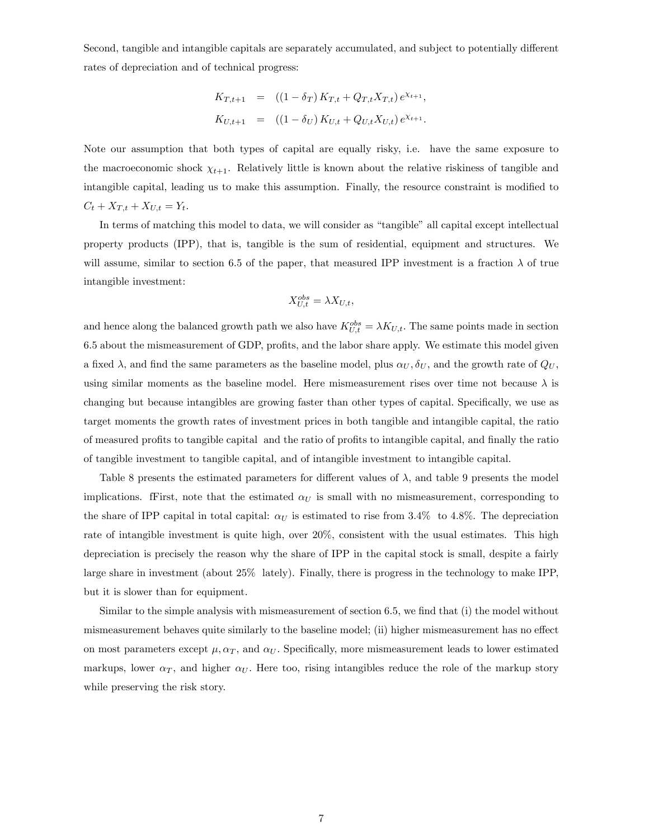Second, tangible and intangible capitals are separately accumulated, and subject to potentially different rates of depreciation and of technical progress:

$$
K_{T,t+1} = ((1 - \delta_T) K_{T,t} + Q_{T,t} X_{T,t}) e^{\chi_{t+1}},
$$
  
\n
$$
K_{U,t+1} = ((1 - \delta_U) K_{U,t} + Q_{U,t} X_{U,t}) e^{\chi_{t+1}}.
$$

Note our assumption that both types of capital are equally risky, i.e. have the same exposure to the macroeconomic shock  $\chi_{t+1}$ . Relatively little is known about the relative riskiness of tangible and intangible capital, leading us to make this assumption. Finally, the resource constraint is modified to  $C_t + X_{T,t} + X_{U,t} = Y_t.$ 

In terms of matching this model to data, we will consider as "tangible" all capital except intellectual property products (IPP), that is, tangible is the sum of residential, equipment and structures. We will assume, similar to section 6.5 of the paper, that measured IPP investment is a fraction  $\lambda$  of true intangible investment:

$$
X_{U,t}^{obs} = \lambda X_{U,t},
$$

and hence along the balanced growth path we also have  $K_{U,t}^{obs} = \lambda K_{U,t}$ . The same points made in section 6.5 about the mismeasurement of GDP, profits, and the labor share apply. We estimate this model given a fixed  $\lambda$ , and find the same parameters as the baseline model, plus  $\alpha_U, \delta_U$ , and the growth rate of  $Q_U$ , using similar moments as the baseline model. Here mismeasurement rises over time not because  $\lambda$  is changing but because intangibles are growing faster than other types of capital. Specifically, we use as target moments the growth rates of investment prices in both tangible and intangible capital, the ratio of measured profits to tangible capital and the ratio of profits to intangible capital, and finally the ratio of tangible investment to tangible capital, and of intangible investment to intangible capital.

Table 8 presents the estimated parameters for different values of  $\lambda$ , and table 9 presents the model implications. fFirst, note that the estimated  $\alpha_U$  is small with no mismeasurement, corresponding to the share of IPP capital in total capital:  $\alpha_U$  is estimated to rise from 3.4% to 4.8%. The depreciation rate of intangible investment is quite high, over 20%, consistent with the usual estimates. This high depreciation is precisely the reason why the share of IPP in the capital stock is small, despite a fairly large share in investment (about 25% lately). Finally, there is progress in the technology to make IPP, but it is slower than for equipment.

Similar to the simple analysis with mismeasurement of section 6.5, we find that (i) the model without mismeasurement behaves quite similarly to the baseline model; (ii) higher mismeasurement has no effect on most parameters except  $\mu$ ,  $\alpha_T$ , and  $\alpha_U$ . Specifically, more mismeasurement leads to lower estimated markups, lower  $\alpha_T$ , and higher  $\alpha_U$ . Here too, rising intangibles reduce the role of the markup story while preserving the risk story.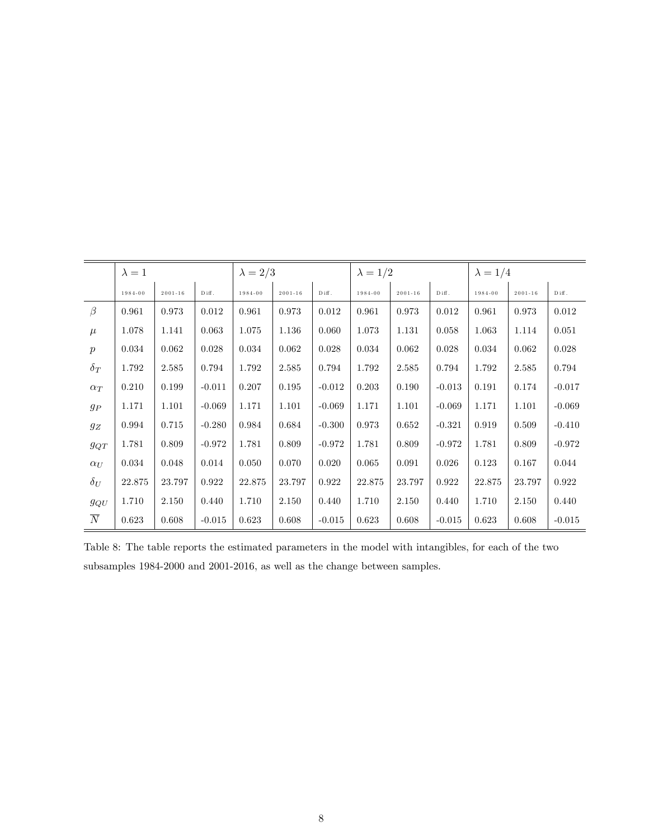|                  | $\lambda = 1$ |             |                   | $\lambda = 2/3$ |             |                                 | $\lambda = 1/2$ |             |                                 | $\lambda = 1/4$ |             |                   |
|------------------|---------------|-------------|-------------------|-----------------|-------------|---------------------------------|-----------------|-------------|---------------------------------|-----------------|-------------|-------------------|
|                  | 1984-00       | $2001 - 16$ | $\mathbf D$ iff . | 1984-00         | $2001 - 16$ | $\mathop{\rm D}\nolimits$ iff . | 1984-00         | $2001 - 16$ | $\mathop{\rm D}\nolimits$ iff . | 1984-00         | $2001 - 16$ | $\mathbf D$ iff . |
| $\beta$          | 0.961         | 0.973       | 0.012             | 0.961           | 0.973       | 0.012                           | 0.961           | 0.973       | 0.012                           | 0.961           | 0.973       | 0.012             |
| $\mu$            | 1.078         | 1.141       | 0.063             | 1.075           | 1.136       | 0.060                           | 1.073           | 1.131       | 0.058                           | 1.063           | 1.114       | 0.051             |
| $\boldsymbol{p}$ | 0.034         | 0.062       | 0.028             | 0.034           | 0.062       | 0.028                           | 0.034           | 0.062       | 0.028                           | 0.034           | 0.062       | 0.028             |
| $\delta_T$       | 1.792         | 2.585       | 0.794             | 1.792           | 2.585       | 0.794                           | 1.792           | 2.585       | 0.794                           | 1.792           | 2.585       | 0.794             |
| $\alpha_T$       | 0.210         | 0.199       | $-0.011$          | 0.207           | 0.195       | $-0.012$                        | 0.203           | 0.190       | $-0.013$                        | 0.191           | 0.174       | $-0.017$          |
| $g_{\cal P}$     | 1.171         | 1.101       | $-0.069$          | 1.171           | 1.101       | $-0.069$                        | 1.171           | 1.101       | $-0.069$                        | 1.171           | 1.101       | $-0.069$          |
| $g_{\cal Z}$     | 0.994         | 0.715       | $-0.280$          | 0.984           | 0.684       | $-0.300$                        | 0.973           | $\,0.652\,$ | $-0.321$                        | 0.919           | 0.509       | $-0.410$          |
| $g_{QT}$         | 1.781         | 0.809       | $-0.972$          | 1.781           | 0.809       | $-0.972$                        | 1.781           | 0.809       | $-0.972$                        | 1.781           | 0.809       | $-0.972$          |
| $\alpha_U$       | 0.034         | 0.048       | 0.014             | 0.050           | 0.070       | 0.020                           | 0.065           | 0.091       | 0.026                           | 0.123           | 0.167       | 0.044             |
| $\delta_U$       | 22.875        | 23.797      | 0.922             | 22.875          | 23.797      | 0.922                           | 22.875          | 23.797      | 0.922                           | 22.875          | 23.797      | 0.922             |
| $g_{QU}$         | 1.710         | 2.150       | 0.440             | 1.710           | 2.150       | 0.440                           | 1.710           | 2.150       | 0.440                           | 1.710           | 2.150       | 0.440             |
| $\overline{N}$   | 0.623         | 0.608       | $-0.015$          | 0.623           | 0.608       | $-0.015$                        | 0.623           | 0.608       | $-0.015$                        | 0.623           | 0.608       | $-0.015$          |

Table 8: The table reports the estimated parameters in the model with intangibles, for each of the two subsamples 1984-2000 and 2001-2016, as well as the change between samples.